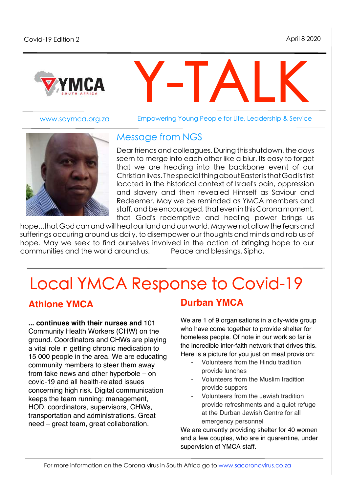

www.saymca.org.za

Empowering Young People for Life, Leadership & Service

Y-TALK



#### Message from NGS

Dear friends and colleagues. During thisshutdown, the days seem to merge into each other like a blur. Its easy to forget that we are heading into the backbone event of our Christianlives. ThespecialthingaboutEasteristhatGodisfirst located in the historical context of Israel's pain, oppression and slavery and then revealed Himself as Saviour and Redeemer. May we be reminded as YMCA members and staff, and be encouraged, that even in this Coronamoment, that God's redemptive and healing power brings us

hope...that God can and will heal our land and our world. May we not allow the fears and sufferings occuring around us daily, to disempower our thoughts and minds and rob us of hope. May we seek to find ourselves involved in the action of bringing hope to our communities and the world around us. Peace and blessings. Sipho.

# Local YMCA Response to Covid-19

#### **Athlone YMCA**

**... continues with their nurses and** 101 Community Health Workers (CHW) on the ground. Coordinators and CHWs are playing a vital role in getting chronic medication to 15 000 people in the area. We are educating community members to steer them away from fake news and other hyperbole – on covid-19 and all health-related issues concerning high risk. Digital communication keeps the team running: management, HOD, coordinators, supervisors, CHWs, transportation and administrations. Great need – great team, great collaboration.

#### **Durban YMCA**

We are 1 of 9 organisations in a city-wide group who have come together to provide shelter for homeless people. Of note in our work so far is the incredible inter-faith network that drives this. Here is a picture for you just on meal provision:

- Volunteers from the Hindu tradition provide lunches
- Volunteers from the Muslim tradition provide suppers
- Volunteers from the Jewish tradition provide refreshments and a quiet refuge at the Durban Jewish Centre for all emergency personnel

We are currently providing shelter for 40 women and a few couples, who are in quarentine, under supervision of YMCA staff.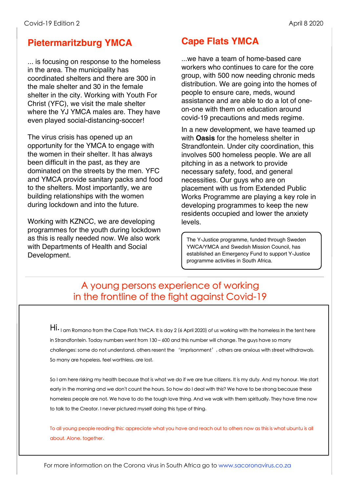#### **Pietermaritzburg YMCA**

... is focusing on response to the homeless in the area. The municipality has coordinated shelters and there are 300 in the male shelter and 30 in the female shelter in the city. Working with Youth For Christ (YFC), we visit the male shelter where the YJ YMCA males are. They have even played social-distancing-soccer!

The virus crisis has opened up an opportunity for the YMCA to engage with the women in their shelter. It has always been difficult in the past, as they are dominated on the streets by the men. YFC and YMCA provide sanitary packs and food to the shelters. Most importantly, we are building relationships with the women during lockdown and into the future.

Working with KZNCC, we are developing programmes for the youth during lockdown as this is really needed now. We also work with Departments of Health and Social Development.

## **Cape Flats YMCA**

...we have a team of home-based care workers who continues to care for the core group, with 500 now needing chronic meds distribution. We are going into the homes of people to ensure care, meds, wound assistance and are able to do a lot of oneon-one with them on education around covid-19 precautions and meds regime.

In a new development, we have teamed up with **Oasis** for the homeless shelter in Strandfontein. Under city coordination, this involves 500 homeless people. We are all pitching in as a network to provide necessary safety, food, and general necessities. Our guys who are on placement with us from Extended Public Works Programme are playing a key role in developing programmes to keep the new residents occupied and lower the anxiety levels.

The Y-Justice programme, funded through Sweden YWCA/YMCA and Swedish Mission Council, has established an Emergency Fund to support Y-Justice programme activities in South Africa.

## A young persons experience of working in the frontline of the fight against Covid-19

Hi. I am Romano from the Cape Flats YMCA. It is day 2 (6 April 2020) of us working with the homeless in the tent here in Strandfontein. Today numbers went from 130 – 600 and this number will change. The guys have so many challenges: some do not understand, others resent the 'imprisonment', others are anxious with street withdrawals. So many are hopeless, feel worthless, are lost.

So I am here risking my health because that is what we do if we are true citizens. It is my duty. And my honour. We start early in the morning and we don't count the hours. So how do I deal with this? We have to be strong because these homeless people are not. We have to do the tough love thing. And we walk with them spiritually. They have time now to talk to the Creator. I never pictured myself doing this type of thing.

To all young people reading this: appreciate what you have and reach out to others now as this is what ubuntu is all about. Alone, together.